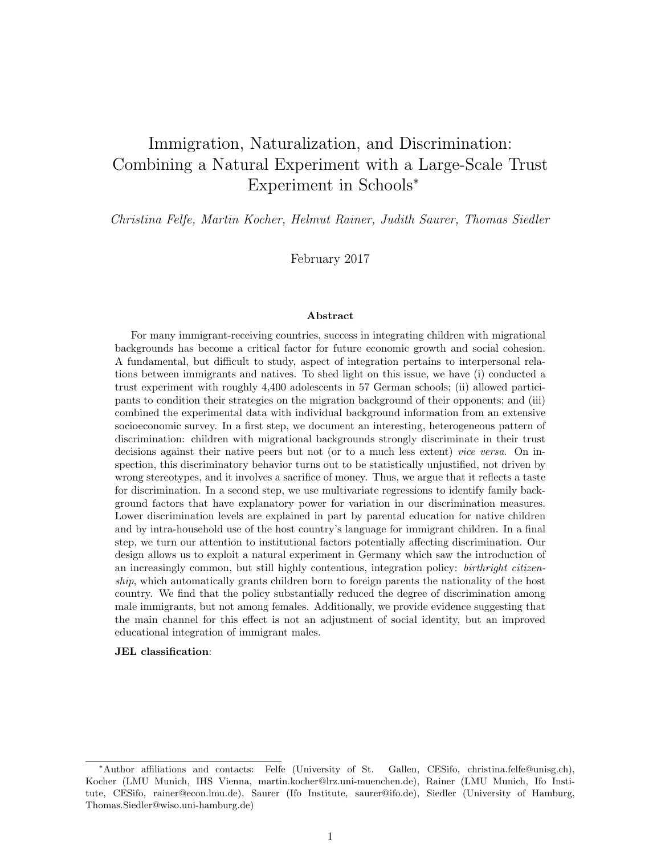# Immigration, Naturalization, and Discrimination: Combining a Natural Experiment with a Large-Scale Trust Experiment in Schools<sup>∗</sup>

Christina Felfe, Martin Kocher, Helmut Rainer, Judith Saurer, Thomas Siedler

February 2017

#### Abstract

For many immigrant-receiving countries, success in integrating children with migrational backgrounds has become a critical factor for future economic growth and social cohesion. A fundamental, but difficult to study, aspect of integration pertains to interpersonal relations between immigrants and natives. To shed light on this issue, we have (i) conducted a trust experiment with roughly 4,400 adolescents in 57 German schools; (ii) allowed participants to condition their strategies on the migration background of their opponents; and (iii) combined the experimental data with individual background information from an extensive socioeconomic survey. In a first step, we document an interesting, heterogeneous pattern of discrimination: children with migrational backgrounds strongly discriminate in their trust decisions against their native peers but not (or to a much less extent) vice versa. On inspection, this discriminatory behavior turns out to be statistically unjustified, not driven by wrong stereotypes, and it involves a sacrifice of money. Thus, we argue that it reflects a taste for discrimination. In a second step, we use multivariate regressions to identify family background factors that have explanatory power for variation in our discrimination measures. Lower discrimination levels are explained in part by parental education for native children and by intra-household use of the host country's language for immigrant children. In a final step, we turn our attention to institutional factors potentially affecting discrimination. Our design allows us to exploit a natural experiment in Germany which saw the introduction of an increasingly common, but still highly contentious, integration policy: *birthright citizen*ship, which automatically grants children born to foreign parents the nationality of the host country. We find that the policy substantially reduced the degree of discrimination among male immigrants, but not among females. Additionally, we provide evidence suggesting that the main channel for this effect is not an adjustment of social identity, but an improved educational integration of immigrant males.

#### JEL classification:

<sup>∗</sup>Author affiliations and contacts: Felfe (University of St. Gallen, CESifo, christina.felfe@unisg.ch), Kocher (LMU Munich, IHS Vienna, martin.kocher@lrz.uni-muenchen.de), Rainer (LMU Munich, Ifo Institute, CESifo, rainer@econ.lmu.de), Saurer (Ifo Institute, saurer@ifo.de), Siedler (University of Hamburg, Thomas.Siedler@wiso.uni-hamburg.de)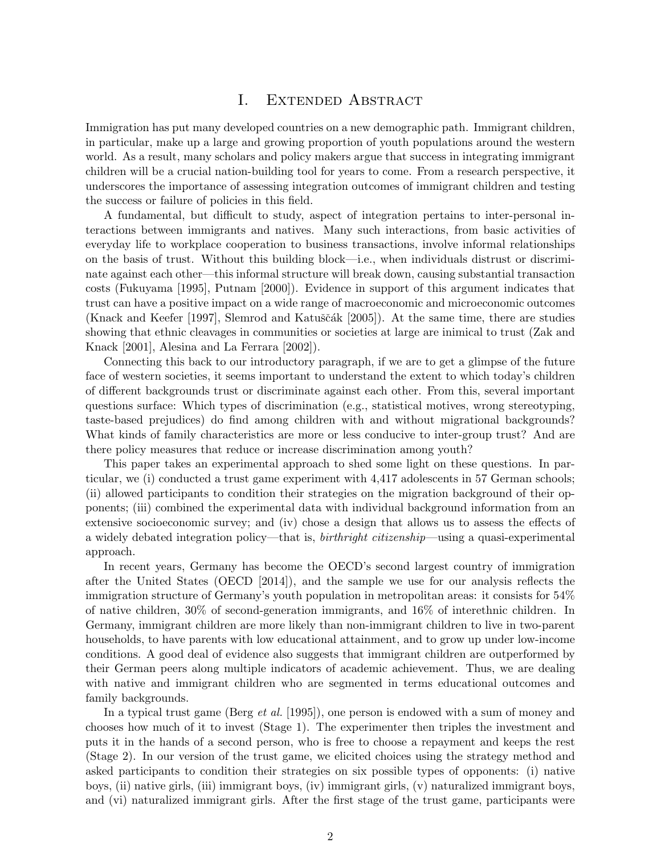## I. Extended Abstract

Immigration has put many developed countries on a new demographic path. Immigrant children, in particular, make up a large and growing proportion of youth populations around the western world. As a result, many scholars and policy makers argue that success in integrating immigrant children will be a crucial nation-building tool for years to come. From a research perspective, it underscores the importance of assessing integration outcomes of immigrant children and testing the success or failure of policies in this field.

A fundamental, but difficult to study, aspect of integration pertains to inter-personal interactions between immigrants and natives. Many such interactions, from basic activities of everyday life to workplace cooperation to business transactions, involve informal relationships on the basis of trust. Without this building block—i.e., when individuals distrust or discriminate against each other—this informal structure will break down, causing substantial transaction costs (Fukuyama [1995], Putnam [2000]). Evidence in support of this argument indicates that trust can have a positive impact on a wide range of macroeconomic and microeconomic outcomes (Knack and Keefer [1997], Slemrod and Katuščák [2005]). At the same time, there are studies showing that ethnic cleavages in communities or societies at large are inimical to trust (Zak and Knack [2001], Alesina and La Ferrara [2002]).

Connecting this back to our introductory paragraph, if we are to get a glimpse of the future face of western societies, it seems important to understand the extent to which today's children of different backgrounds trust or discriminate against each other. From this, several important questions surface: Which types of discrimination (e.g., statistical motives, wrong stereotyping, taste-based prejudices) do find among children with and without migrational backgrounds? What kinds of family characteristics are more or less conducive to inter-group trust? And are there policy measures that reduce or increase discrimination among youth?

This paper takes an experimental approach to shed some light on these questions. In particular, we (i) conducted a trust game experiment with 4,417 adolescents in 57 German schools; (ii) allowed participants to condition their strategies on the migration background of their opponents; (iii) combined the experimental data with individual background information from an extensive socioeconomic survey; and (iv) chose a design that allows us to assess the effects of a widely debated integration policy—that is, birthright citizenship—using a quasi-experimental approach.

In recent years, Germany has become the OECD's second largest country of immigration after the United States (OECD [2014]), and the sample we use for our analysis reflects the immigration structure of Germany's youth population in metropolitan areas: it consists for 54% of native children, 30% of second-generation immigrants, and 16% of interethnic children. In Germany, immigrant children are more likely than non-immigrant children to live in two-parent households, to have parents with low educational attainment, and to grow up under low-income conditions. A good deal of evidence also suggests that immigrant children are outperformed by their German peers along multiple indicators of academic achievement. Thus, we are dealing with native and immigrant children who are segmented in terms educational outcomes and family backgrounds.

In a typical trust game (Berg *et al.* [1995]), one person is endowed with a sum of money and chooses how much of it to invest (Stage 1). The experimenter then triples the investment and puts it in the hands of a second person, who is free to choose a repayment and keeps the rest (Stage 2). In our version of the trust game, we elicited choices using the strategy method and asked participants to condition their strategies on six possible types of opponents: (i) native boys, (ii) native girls, (iii) immigrant boys, (iv) immigrant girls, (v) naturalized immigrant boys, and (vi) naturalized immigrant girls. After the first stage of the trust game, participants were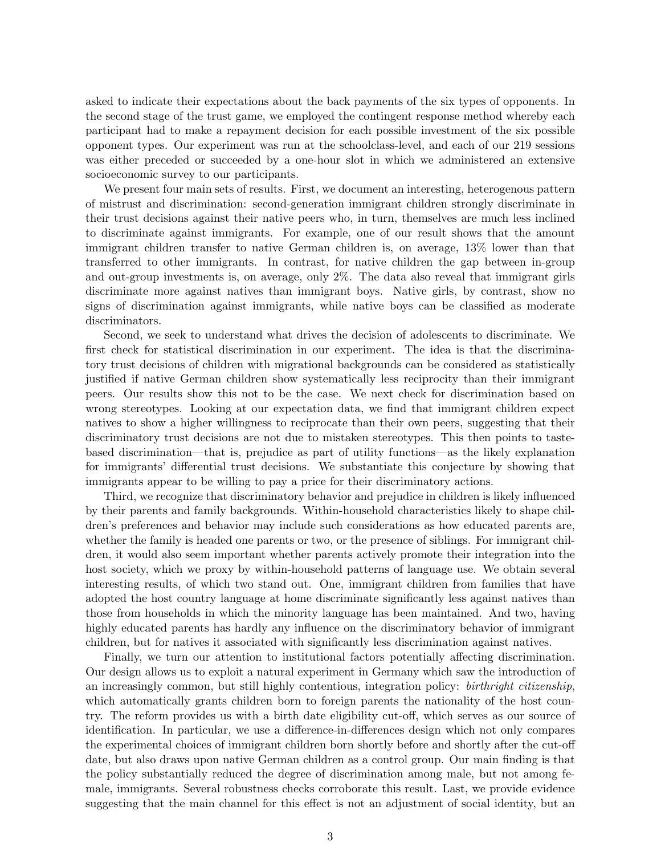asked to indicate their expectations about the back payments of the six types of opponents. In the second stage of the trust game, we employed the contingent response method whereby each participant had to make a repayment decision for each possible investment of the six possible opponent types. Our experiment was run at the schoolclass-level, and each of our 219 sessions was either preceded or succeeded by a one-hour slot in which we administered an extensive socioeconomic survey to our participants.

We present four main sets of results. First, we document an interesting, heterogenous pattern of mistrust and discrimination: second-generation immigrant children strongly discriminate in their trust decisions against their native peers who, in turn, themselves are much less inclined to discriminate against immigrants. For example, one of our result shows that the amount immigrant children transfer to native German children is, on average, 13% lower than that transferred to other immigrants. In contrast, for native children the gap between in-group and out-group investments is, on average, only 2%. The data also reveal that immigrant girls discriminate more against natives than immigrant boys. Native girls, by contrast, show no signs of discrimination against immigrants, while native boys can be classified as moderate discriminators.

Second, we seek to understand what drives the decision of adolescents to discriminate. We first check for statistical discrimination in our experiment. The idea is that the discriminatory trust decisions of children with migrational backgrounds can be considered as statistically justified if native German children show systematically less reciprocity than their immigrant peers. Our results show this not to be the case. We next check for discrimination based on wrong stereotypes. Looking at our expectation data, we find that immigrant children expect natives to show a higher willingness to reciprocate than their own peers, suggesting that their discriminatory trust decisions are not due to mistaken stereotypes. This then points to tastebased discrimination—that is, prejudice as part of utility functions—as the likely explanation for immigrants' differential trust decisions. We substantiate this conjecture by showing that immigrants appear to be willing to pay a price for their discriminatory actions.

Third, we recognize that discriminatory behavior and prejudice in children is likely influenced by their parents and family backgrounds. Within-household characteristics likely to shape children's preferences and behavior may include such considerations as how educated parents are, whether the family is headed one parents or two, or the presence of siblings. For immigrant children, it would also seem important whether parents actively promote their integration into the host society, which we proxy by within-household patterns of language use. We obtain several interesting results, of which two stand out. One, immigrant children from families that have adopted the host country language at home discriminate significantly less against natives than those from households in which the minority language has been maintained. And two, having highly educated parents has hardly any influence on the discriminatory behavior of immigrant children, but for natives it associated with significantly less discrimination against natives.

Finally, we turn our attention to institutional factors potentially affecting discrimination. Our design allows us to exploit a natural experiment in Germany which saw the introduction of an increasingly common, but still highly contentious, integration policy: *birthright citizenship*, which automatically grants children born to foreign parents the nationality of the host country. The reform provides us with a birth date eligibility cut-off, which serves as our source of identification. In particular, we use a difference-in-differences design which not only compares the experimental choices of immigrant children born shortly before and shortly after the cut-off date, but also draws upon native German children as a control group. Our main finding is that the policy substantially reduced the degree of discrimination among male, but not among female, immigrants. Several robustness checks corroborate this result. Last, we provide evidence suggesting that the main channel for this effect is not an adjustment of social identity, but an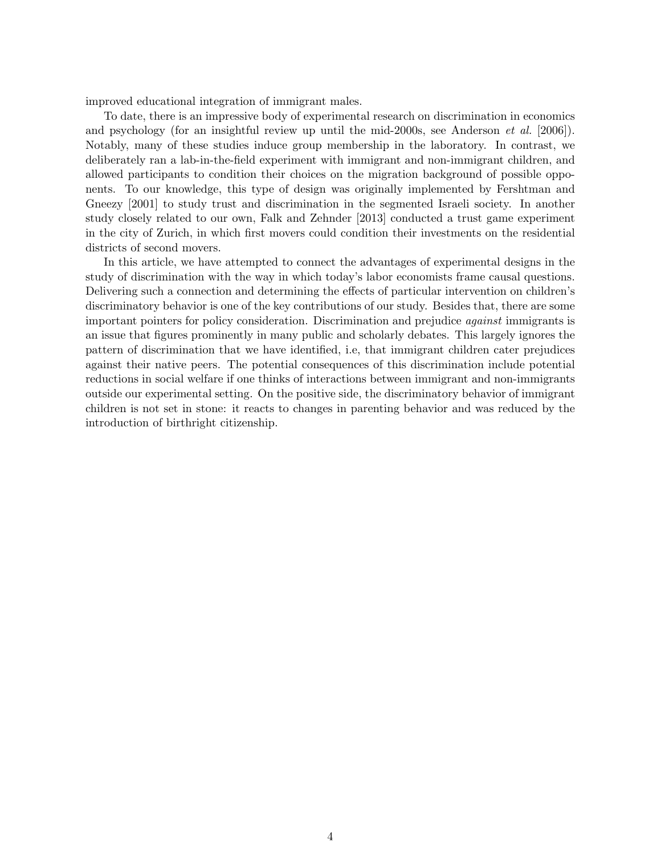improved educational integration of immigrant males.

To date, there is an impressive body of experimental research on discrimination in economics and psychology (for an insightful review up until the mid-2000s, see Anderson *et al.* [2006]). Notably, many of these studies induce group membership in the laboratory. In contrast, we deliberately ran a lab-in-the-field experiment with immigrant and non-immigrant children, and allowed participants to condition their choices on the migration background of possible opponents. To our knowledge, this type of design was originally implemented by Fershtman and Gneezy [2001] to study trust and discrimination in the segmented Israeli society. In another study closely related to our own, Falk and Zehnder [2013] conducted a trust game experiment in the city of Zurich, in which first movers could condition their investments on the residential districts of second movers.

In this article, we have attempted to connect the advantages of experimental designs in the study of discrimination with the way in which today's labor economists frame causal questions. Delivering such a connection and determining the effects of particular intervention on children's discriminatory behavior is one of the key contributions of our study. Besides that, there are some important pointers for policy consideration. Discrimination and prejudice against immigrants is an issue that figures prominently in many public and scholarly debates. This largely ignores the pattern of discrimination that we have identified, i.e, that immigrant children cater prejudices against their native peers. The potential consequences of this discrimination include potential reductions in social welfare if one thinks of interactions between immigrant and non-immigrants outside our experimental setting. On the positive side, the discriminatory behavior of immigrant children is not set in stone: it reacts to changes in parenting behavior and was reduced by the introduction of birthright citizenship.